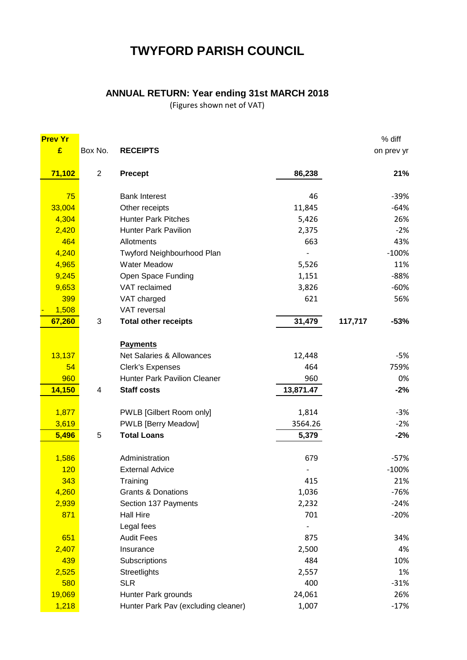# **TWYFORD PARISH COUNCIL**

## **ANNUAL RETURN: Year ending 31st MARCH 2018**

(Figures shown net of VAT)

| <b>Prev Yr</b> |                |                                     |           | % diff            |  |
|----------------|----------------|-------------------------------------|-----------|-------------------|--|
| £              | Box No.        | <b>RECEIPTS</b>                     |           | on prev yr        |  |
| 71,102         | $\overline{2}$ | <b>Precept</b>                      | 86,238    | 21%               |  |
| 75             |                | <b>Bank Interest</b>                | 46        | $-39%$            |  |
| 33,004         |                | Other receipts                      | 11,845    | $-64%$            |  |
| 4,304          |                | <b>Hunter Park Pitches</b>          | 5,426     | 26%               |  |
| 2,420          |                | <b>Hunter Park Pavilion</b>         | 2,375     | $-2%$             |  |
| 464            |                | Allotments                          | 663       | 43%               |  |
| 4,240          |                | Twyford Neighbourhood Plan          |           | $-100%$           |  |
| 4,965          |                | <b>Water Meadow</b>                 | 5,526     | 11%               |  |
| 9,245          |                | Open Space Funding                  | 1,151     | $-88%$            |  |
| 9,653          |                | VAT reclaimed                       | 3,826     | $-60%$            |  |
| 399            |                | VAT charged                         | 621       | 56%               |  |
| 1,508          |                | VAT reversal                        |           |                   |  |
| 67,260         | 3              | <b>Total other receipts</b>         | 31,479    | 117,717<br>$-53%$ |  |
|                |                | <b>Payments</b>                     |           |                   |  |
| 13,137         |                | Net Salaries & Allowances           | 12,448    | $-5%$             |  |
| 54             |                | <b>Clerk's Expenses</b>             | 464       | 759%              |  |
| 960            |                | <b>Hunter Park Pavilion Cleaner</b> | 960       | 0%                |  |
| 14,150         | 4              | <b>Staff costs</b>                  | 13,871.47 | $-2%$             |  |
|                |                |                                     |           |                   |  |
| 1,877          |                | PWLB [Gilbert Room only]            | 1,814     | $-3%$             |  |
| 3,619          |                | <b>PWLB</b> [Berry Meadow]          | 3564.26   | $-2%$             |  |
| 5,496          | 5              | <b>Total Loans</b>                  | 5,379     | $-2%$             |  |
| 1,586          |                | Administration                      | 679       | $-57%$            |  |
| 120            |                | <b>External Advice</b>              |           | $-100%$           |  |
| 343            |                | Training                            | 415       | 21%               |  |
| 4,260          |                | <b>Grants &amp; Donations</b>       | 1,036     | -76%              |  |
| 2,939          |                | Section 137 Payments                | 2,232     | $-24%$            |  |
| 871            |                | <b>Hall Hire</b>                    | 701       | $-20%$            |  |
|                |                | Legal fees                          |           |                   |  |
| 651            |                | <b>Audit Fees</b>                   | 875       | 34%               |  |
| 2,407          |                | Insurance                           | 2,500     | 4%                |  |
| 439            |                | Subscriptions                       | 484       | 10%               |  |
| 2,525          |                | Streetlights                        | 2,557     | 1%                |  |
| 580            |                | <b>SLR</b>                          | 400       | $-31%$            |  |
| 19,069         |                | Hunter Park grounds                 | 24,061    | 26%               |  |
| 1,218          |                | Hunter Park Pav (excluding cleaner) | 1,007     | $-17%$            |  |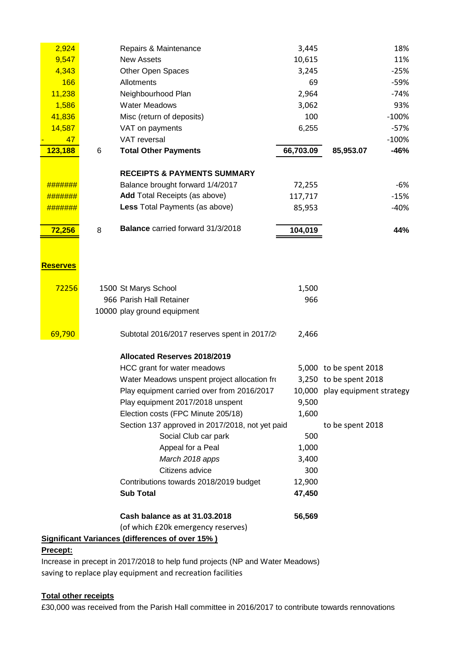| 2,924           |   | Repairs & Maintenance                                  | 3,445     |                         | 18%     |
|-----------------|---|--------------------------------------------------------|-----------|-------------------------|---------|
| 9,547           |   | <b>New Assets</b>                                      | 10,615    |                         | 11%     |
| 4,343           |   | Other Open Spaces                                      | 3,245     |                         | $-25%$  |
| 166             |   | Allotments                                             | 69        |                         | $-59%$  |
| 11,238          |   | Neighbourhood Plan                                     | 2,964     |                         | $-74%$  |
| 1,586           |   | <b>Water Meadows</b>                                   | 3,062     |                         | 93%     |
| 41,836          |   | Misc (return of deposits)                              | 100       |                         | $-100%$ |
| 14,587          |   | VAT on payments                                        | 6,255     |                         | $-57%$  |
| 47              |   | VAT reversal                                           |           |                         | $-100%$ |
| 123,188         | 6 | <b>Total Other Payments</b>                            | 66,703.09 | 85,953.07               | $-46%$  |
|                 |   |                                                        |           |                         |         |
|                 |   | <b>RECEIPTS &amp; PAYMENTS SUMMARY</b>                 |           |                         |         |
| #######         |   | Balance brought forward 1/4/2017                       | 72,255    |                         | $-6%$   |
|                 |   | <b>Add Total Receipts (as above)</b>                   | 117,717   |                         | $-15%$  |
| #######         |   | Less Total Payments (as above)                         | 85,953    |                         | $-40%$  |
|                 |   |                                                        |           |                         |         |
| 72,256          | 8 | <b>Balance</b> carried forward 31/3/2018               | 104,019   |                         | 44%     |
|                 |   |                                                        |           |                         |         |
|                 |   |                                                        |           |                         |         |
| <b>Reserves</b> |   |                                                        |           |                         |         |
|                 |   |                                                        |           |                         |         |
| 72256           |   | 1500 St Marys School                                   | 1,500     |                         |         |
|                 |   | 966 Parish Hall Retainer                               | 966       |                         |         |
|                 |   | 10000 play ground equipment                            |           |                         |         |
|                 |   |                                                        |           |                         |         |
| 69,790          |   | Subtotal 2016/2017 reserves spent in 2017/2            | 2,466     |                         |         |
|                 |   | Allocated Reserves 2018/2019                           |           |                         |         |
|                 |   | HCC grant for water meadows                            |           | 5,000 to be spent 2018  |         |
|                 |   | Water Meadows unspent project allocation fro           |           | 3,250 to be spent 2018  |         |
|                 |   | Play equipment carried over from 2016/2017             | 10,000    | play equipment strategy |         |
|                 |   | Play equipment 2017/2018 unspent                       | 9,500     |                         |         |
|                 |   | Election costs (FPC Minute 205/18)                     | 1,600     |                         |         |
|                 |   | Section 137 approved in 2017/2018, not yet paid        |           | to be spent 2018        |         |
|                 |   | Social Club car park                                   | 500       |                         |         |
|                 |   | Appeal for a Peal                                      | 1,000     |                         |         |
|                 |   | March 2018 apps                                        | 3,400     |                         |         |
|                 |   | Citizens advice                                        | 300       |                         |         |
|                 |   | Contributions towards 2018/2019 budget                 | 12,900    |                         |         |
|                 |   | <b>Sub Total</b>                                       | 47,450    |                         |         |
|                 |   |                                                        |           |                         |         |
|                 |   | Cash balance as at 31.03.2018                          | 56,569    |                         |         |
|                 |   | (of which £20k emergency reserves)                     |           |                         |         |
|                 |   | <b>Significant Variances (differences of over 15%)</b> |           |                         |         |

## **Precept:**

Increase in precept in 2017/2018 to help fund projects (NP and Water Meadows) saving to replace play equipment and recreation facilities

#### **Total other receipts**

£30,000 was received from the Parish Hall committee in 2016/2017 to contribute towards rennovations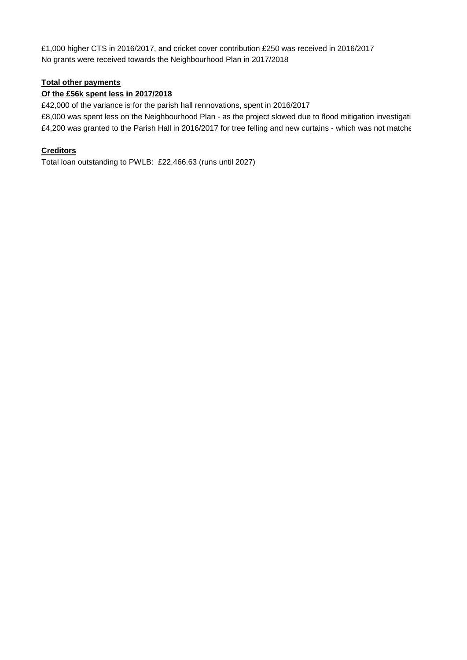£1,000 higher CTS in 2016/2017, and cricket cover contribution £250 was received in 2016/2017 No grants were received towards the Neighbourhood Plan in 2017/2018

## **Total other payments**

#### **Of the £56k spent less in 2017/2018**

£42,000 of the variance is for the parish hall rennovations, spent in 2016/2017 £8,000 was spent less on the Neighbourhood Plan - as the project slowed due to flood mitigation investigati £4,200 was granted to the Parish Hall in 2016/2017 for tree felling and new curtains - which was not matche

### **Creditors**

Total loan outstanding to PWLB: £22,466.63 (runs until 2027)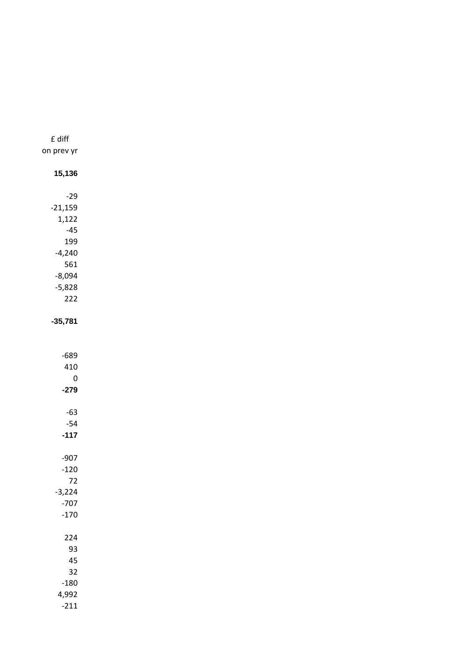| £ diff          |
|-----------------|
| on prev yr      |
|                 |
| 15,136          |
| $-29$           |
| $-21,159$       |
| 1,122           |
| $-45$           |
| 199             |
| $-4,240$        |
| 561             |
| $-8,094$        |
| $-5,828$<br>222 |
|                 |
| $-35,781$       |
|                 |
|                 |
| $-689$          |
| 410<br>0        |
| $-279$          |
|                 |
| $-63$           |
| $-54$           |
| $-117$          |
| $-907$          |
| $-120$          |
| 72              |
| $-3,224$        |
| $-707$          |
| $-170$          |
| 224             |
| 93              |
| 45              |
| 32              |
| $-180$          |
| 4,992           |

 $-211$